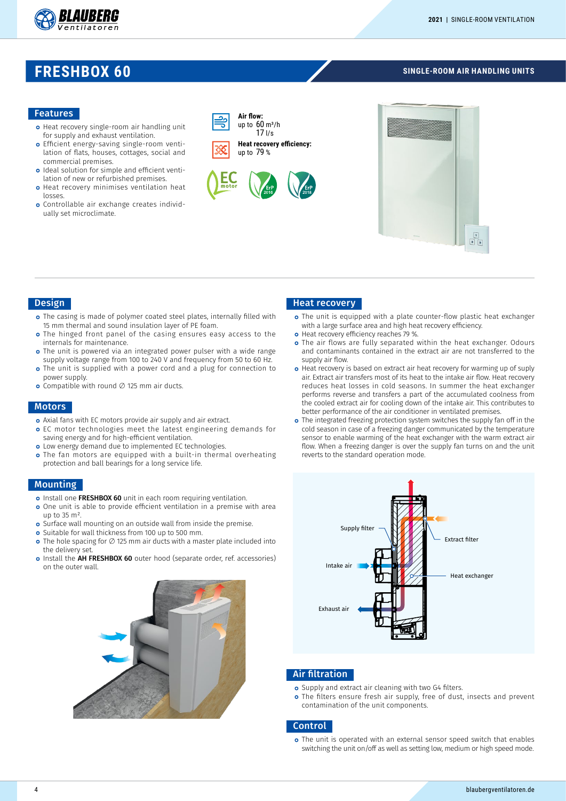

## **FRESHBOX 60**

#### **SINGLE-ROOM AIR HANDLING UNITS**

#### Features

- **o** Heat recovery single-room air handling unit for supply and exhaust ventilation.
- o Efficient energy-saving single-room ventilation of flats, houses, cottages, social and commercial premises.
- o Ideal solution for simple and efficient ventilation of new or refurbished premises.
- o Heat recovery minimises ventilation heat losses.
- Controllable air exchange creates individually set microclimate.





#### Design

- o The casing is made of polymer coated steel plates, internally filled with 15 mm thermal and sound insulation layer of PE foam.
- **o** The hinged front panel of the casing ensures easy access to the internals for maintenance.
- o The unit is powered via an integrated power pulser with a wide range supply voltage range from 100 to 240 V and frequency from 50 to 60 Hz.
- o The unit is supplied with a power cord and a plug for connection to power supply.
- Compatible with round ∅ 125 mm air ducts.

#### Motors

- o Axial fans with EC motors provide air supply and air extract.
- o EC motor technologies meet the latest engineering demands for saving energy and for high-efficient ventilation.
- o Low energy demand due to implemented EC technologies.
- o The fan motors are equipped with a built-in thermal overheating protection and ball bearings for a long service life.

#### Mounting

- o Install one FRESHBOX 60 unit in each room requiring ventilation.
- One unit is able to provide efficient ventilation in a premise with area up to  $35 \text{ m}^2$
- o Surface wall mounting on an outside wall from inside the premise.
- **o** Suitable for wall thickness from 100 up to 500 mm.
- The hole spacing for ∅ 125 mm air ducts with a master plate included into the delivery set.
- o Install the **AH FRESHBOX 60** outer hood (separate order, ref. accessories) on the outer wall.



#### Heat recovery

- o The unit is equipped with a plate counter-flow plastic heat exchanger with a large surface area and high heat recovery efficiency.
- o Heat recovery efficiency reaches 79 %.
- o The air flows are fully separated within the heat exchanger. Odours and contaminants contained in the extract air are not transferred to the supply air flow.
- o Heat recovery is based on extract air heat recovery for warming up of suply air. Extract air transfers most of its heat to the intake air flow. Heat recovery reduces heat losses in cold seasons. In summer the heat exchanger performs reverse and transfers a part of the accumulated coolness from the cooled extract air for cooling down of the intake air. This contributes to better performance of the air conditioner in ventilated premises.
- o The integrated freezing protection system switches the supply fan off in the cold season in case of a freezing danger communicated by the temperature sensor to enable warming of the heat exchanger with the warm extract air flow. When a freezing danger is over the supply fan turns on and the unit reverts to the standard operation mode.



#### Air filtration

- o Supply and extract air cleaning with two G4 filters.
- o The filters ensure fresh air supply, free of dust, insects and prevent contamination of the unit components.

#### **Control**

o The unit is operated with an external sensor speed switch that enables switching the unit on/off as well as setting low, medium or high speed mode.